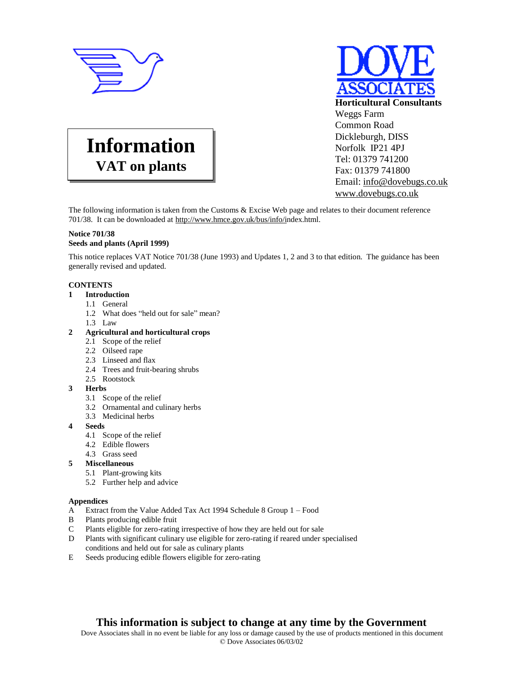



# **Information VAT on plants**

The following information is taken from the Customs & Excise Web page and relates to their document reference 701/38. It can be downloaded at <http://www.hmce.gov.uk/bus/info/i>ndex.html.

## **Notice 701/38 Seeds and plants (April 1999)**

This notice replaces VAT Notice 701/38 (June 1993) and Updates 1, 2 and 3 to that edition. The guidance has been generally revised and updated.

## **CONTENTS**

- **1 Introduction**
	- 1.1 General
		- 1.2 What does "held out for sale" mean?
	- 1.3 Law
- **2 Agricultural and horticultural crops**
	- 2.1 Scope of the relief
	- 2.2 Oilseed rape
	- 2.3 Linseed and flax
	- 2.4 Trees and fruit-bearing shrubs
	- 2.5 Rootstock
- **3 Herbs**
	- 3.1 Scope of the relief
	- 3.2 Ornamental and culinary herbs
	- 3.3 Medicinal herbs
- **4 Seeds**
	- 4.1 Scope of the relief
	- 4.2 Edible flowers
	- 4.3 Grass seed
- **5 Miscellaneous**
	- 5.1 Plant-growing kits
	- 5.2 Further help and advice

## **Appendices**

- A Extract from the Value Added Tax Act 1994 Schedule 8 Group 1 Food
- B Plants producing edible fruit
- C Plants eligible for zero-rating irrespective of how they are held out for sale
- D Plants with significant culinary use eligible for zero-rating if reared under specialised conditions and held out for sale as culinary plants
- E Seeds producing edible flowers eligible for zero-rating

# **This information is subject to change at any time by the Government**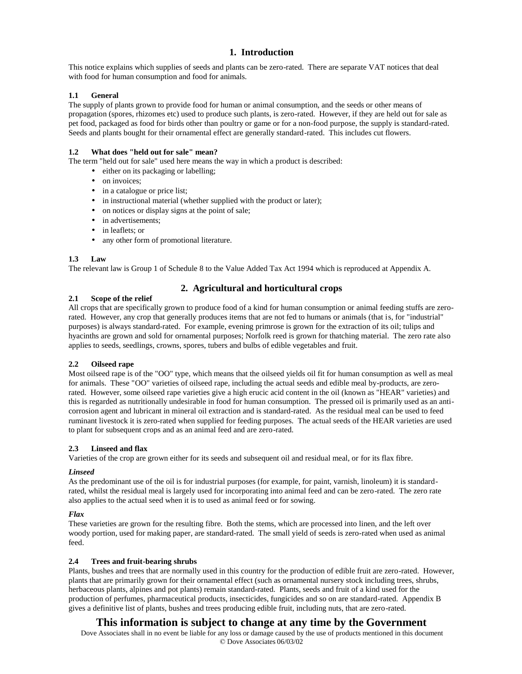## **1. Introduction**

This notice explains which supplies of seeds and plants can be zero-rated. There are separate VAT notices that deal with food for human consumption and food for animals.

#### **1.1 General**

The supply of plants grown to provide food for human or animal consumption, and the seeds or other means of propagation (spores, rhizomes etc) used to produce such plants, is zero-rated. However, if they are held out for sale as pet food, packaged as food for birds other than poultry or game or for a non-food purpose, the supply is standard-rated. Seeds and plants bought for their ornamental effect are generally standard-rated. This includes cut flowers.

## **1.2 What does "held out for sale" mean?**

The term "held out for sale" used here means the way in which a product is described:

- either on its packaging or labelling;
- on invoices;
- in a catalogue or price list;
- in instructional material (whether supplied with the product or later);
- on notices or display signs at the point of sale;
- in advertisements;
- in leaflets; or
- any other form of promotional literature.

#### **1.3 Law**

The relevant law is Group 1 of Schedule 8 to the Value Added Tax Act 1994 which is reproduced at Appendix A.

## **2. Agricultural and horticultural crops**

#### **2.1 Scope of the relief**

All crops that are specifically grown to produce food of a kind for human consumption or animal feeding stuffs are zerorated. However, any crop that generally produces items that are not fed to humans or animals (that is, for "industrial" purposes) is always standard-rated. For example, evening primrose is grown for the extraction of its oil; tulips and hyacinths are grown and sold for ornamental purposes; Norfolk reed is grown for thatching material. The zero rate also applies to seeds, seedlings, crowns, spores, tubers and bulbs of edible vegetables and fruit.

#### **2.2 Oilseed rape**

Most oilseed rape is of the "OO" type, which means that the oilseed yields oil fit for human consumption as well as meal for animals. These "OO" varieties of oilseed rape, including the actual seeds and edible meal by-products, are zerorated. However, some oilseed rape varieties give a high erucic acid content in the oil (known as "HEAR" varieties) and this is regarded as nutritionally undesirable in food for human consumption. The pressed oil is primarily used as an anticorrosion agent and lubricant in mineral oil extraction and is standard-rated. As the residual meal can be used to feed ruminant livestock it is zero-rated when supplied for feeding purposes. The actual seeds of the HEAR varieties are used to plant for subsequent crops and as an animal feed and are zero-rated.

#### **2.3 Linseed and flax**

Varieties of the crop are grown either for its seeds and subsequent oil and residual meal, or for its flax fibre.

#### *Linseed*

As the predominant use of the oil is for industrial purposes (for example, for paint, varnish, linoleum) it is standardrated, whilst the residual meal is largely used for incorporating into animal feed and can be zero-rated. The zero rate also applies to the actual seed when it is to used as animal feed or for sowing.

#### *Flax*

These varieties are grown for the resulting fibre. Both the stems, which are processed into linen, and the left over woody portion, used for making paper, are standard-rated. The small yield of seeds is zero-rated when used as animal feed.

#### **2.4 Trees and fruit-bearing shrubs**

Plants, bushes and trees that are normally used in this country for the production of edible fruit are zero-rated. However, plants that are primarily grown for their ornamental effect (such as ornamental nursery stock including trees, shrubs, herbaceous plants, alpines and pot plants) remain standard-rated. Plants, seeds and fruit of a kind used for the production of perfumes, pharmaceutical products, insecticides, fungicides and so on are standard-rated. Appendix B gives a definitive list of plants, bushes and trees producing edible fruit, including nuts, that are zero-rated.

# **This information is subject to change at any time by the Government**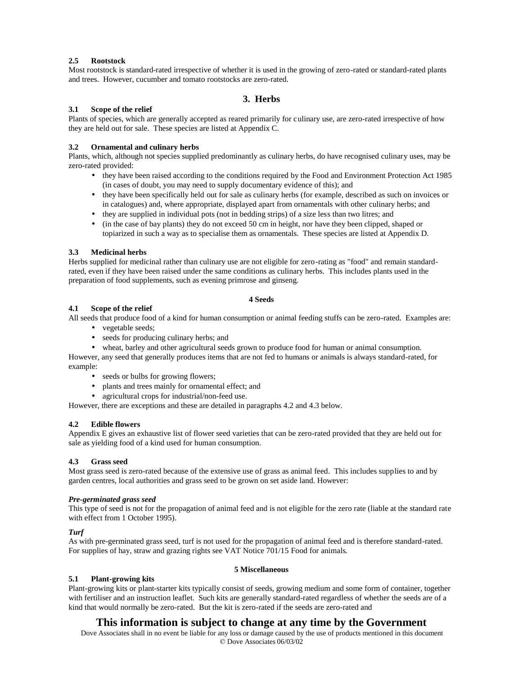## **2.5 Rootstock**

Most rootstock is standard-rated irrespective of whether it is used in the growing of zero-rated or standard-rated plants and trees. However, cucumber and tomato rootstocks are zero-rated.

## **3. Herbs**

#### **3.1 Scope of the relief**

Plants of species, which are generally accepted as reared primarily for culinary use, are zero-rated irrespective of how they are held out for sale. These species are listed at Appendix C.

#### **3.2 Ornamental and culinary herbs**

Plants, which, although not species supplied predominantly as culinary herbs, do have recognised culinary uses, may be zero-rated provided:

- they have been raised according to the conditions required by the Food and Environment Protection Act 1985 (in cases of doubt, you may need to supply documentary evidence of this); and
- they have been specifically held out for sale as culinary herbs (for example, described as such on invoices or in catalogues) and, where appropriate, displayed apart from ornamentals with other culinary herbs; and
- they are supplied in individual pots (not in bedding strips) of a size less than two litres; and
- (in the case of bay plants) they do not exceed 50 cm in height, nor have they been clipped, shaped or topiarized in such a way as to specialise them as ornamentals. These species are listed at Appendix D.

#### **3.3 Medicinal herbs**

Herbs supplied for medicinal rather than culinary use are not eligible for zero-rating as "food" and remain standardrated, even if they have been raised under the same conditions as culinary herbs. This includes plants used in the preparation of food supplements, such as evening primrose and ginseng.

#### **4 Seeds**

## **4.1 Scope of the relief**

All seeds that produce food of a kind for human consumption or animal feeding stuffs can be zero-rated. Examples are:

- vegetable seeds;
- seeds for producing culinary herbs; and
- wheat, barley and other agricultural seeds grown to produce food for human or animal consumption.

However, any seed that generally produces items that are not fed to humans or animals is always standard-rated, for example:

- seeds or bulbs for growing flowers;
- plants and trees mainly for ornamental effect; and
- agricultural crops for industrial/non-feed use.

However, there are exceptions and these are detailed in paragraphs 4.2 and 4.3 below.

#### **4.2 Edible flowers**

Appendix E gives an exhaustive list of flower seed varieties that can be zero-rated provided that they are held out for sale as yielding food of a kind used for human consumption.

#### **4.3 Grass seed**

Most grass seed is zero-rated because of the extensive use of grass as animal feed. This includes supplies to and by garden centres, local authorities and grass seed to be grown on set aside land. However:

#### *Pre-germinated grass seed*

This type of seed is not for the propagation of animal feed and is not eligible for the zero rate (liable at the standard rate with effect from 1 October 1995).

#### *Turf*

As with pre-germinated grass seed, turf is not used for the propagation of animal feed and is therefore standard-rated. For supplies of hay, straw and grazing rights see VAT Notice 701/15 Food for animals.

#### **5 Miscellaneous**

**5.1 Plant-growing kits** Plant-growing kits or plant-starter kits typically consist of seeds, growing medium and some form of container, together with fertiliser and an instruction leaflet. Such kits are generally standard-rated regardless of whether the seeds are of a kind that would normally be zero-rated. But the kit is zero-rated if the seeds are zero-rated and

# **This information is subject to change at any time by the Government**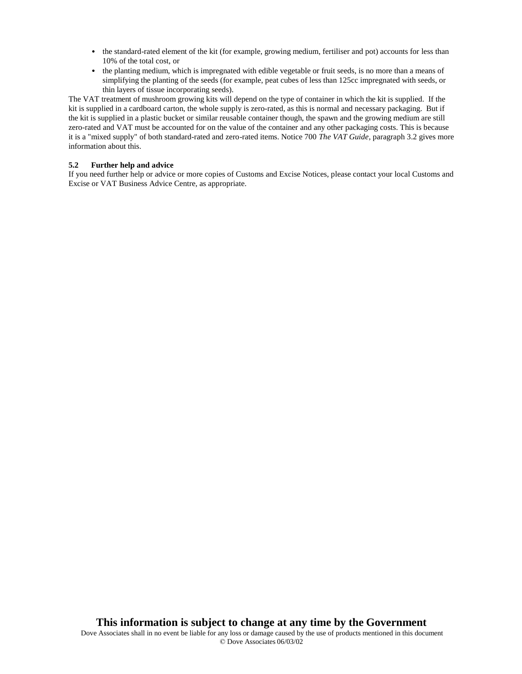- the standard-rated element of the kit (for example, growing medium, fertiliser and pot) accounts for less than 10% of the total cost, or
- the planting medium, which is impregnated with edible vegetable or fruit seeds, is no more than a means of simplifying the planting of the seeds (for example, peat cubes of less than 125cc impregnated with seeds, or thin layers of tissue incorporating seeds).

The VAT treatment of mushroom growing kits will depend on the type of container in which the kit is supplied. If the kit is supplied in a cardboard carton, the whole supply is zero-rated, as this is normal and necessary packaging. But if the kit is supplied in a plastic bucket or similar reusable container though, the spawn and the growing medium are still zero-rated and VAT must be accounted for on the value of the container and any other packaging costs. This is because it is a "mixed supply" of both standard-rated and zero-rated items. Notice 700 *The VAT Guide*, paragraph 3.2 gives more information about this.

## **5.2 Further help and advice**

If you need further help or advice or more copies of Customs and Excise Notices, please contact your local Customs and Excise or VAT Business Advice Centre, as appropriate.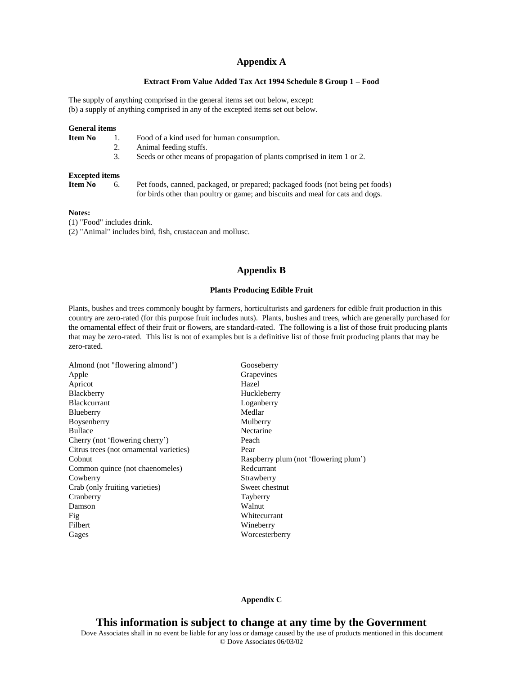## **Appendix A**

## **Extract From Value Added Tax Act 1994 Schedule 8 Group 1 – Food**

The supply of anything comprised in the general items set out below, except: (b) a supply of anything comprised in any of the excepted items set out below.

| <b>General items</b>  |    |                                                                                                                                                                  |
|-----------------------|----|------------------------------------------------------------------------------------------------------------------------------------------------------------------|
| Item No               |    | Food of a kind used for human consumption.                                                                                                                       |
|                       | 2. | Animal feeding stuffs.                                                                                                                                           |
|                       | 3. | Seeds or other means of propagation of plants comprised in item 1 or 2.                                                                                          |
| <b>Excepted items</b> |    |                                                                                                                                                                  |
| Item No               | 6. | Pet foods, canned, packaged, or prepared; packaged foods (not being pet foods)<br>for birds other than poultry or game; and biscuits and meal for cats and dogs. |

#### **Notes:**

(1) "Food" includes drink.

(2) "Animal" includes bird, fish, crustacean and mollusc.

## **Appendix B**

## **Plants Producing Edible Fruit**

Plants, bushes and trees commonly bought by farmers, horticulturists and gardeners for edible fruit production in this country are zero-rated (for this purpose fruit includes nuts). Plants, bushes and trees, which are generally purchased for the ornamental effect of their fruit or flowers, are standard-rated. The following is a list of those fruit producing plants that may be zero-rated. This list is not of examples but is a definitive list of those fruit producing plants that may be zero-rated.

| Almond (not "flowering almond")         | Gooseberry                            |
|-----------------------------------------|---------------------------------------|
| Apple                                   | Grapevines                            |
| Apricot                                 | Hazel                                 |
| Blackberry                              | Huckleberry                           |
| <b>Blackcurrant</b>                     | Loganberry                            |
| Blueberry                               | Medlar                                |
| Boysenberry                             | Mulberry                              |
| <b>Bullace</b>                          | Nectarine                             |
| Cherry (not 'flowering cherry')         | Peach                                 |
| Citrus trees (not ornamental varieties) | Pear                                  |
| Cobnut                                  | Raspberry plum (not 'flowering plum') |
| Common quince (not chaenomeles)         | Redcurrant                            |
| Cowberry                                | Strawberry                            |
| Crab (only fruiting varieties)          | Sweet chestnut                        |
| Cranberry                               | Tayberry                              |
| Damson                                  | Walnut                                |
| Fig                                     | Whitecurrant                          |
| Filbert                                 | Wineberry                             |
| Gages                                   | Worcesterberry                        |

## **Appendix C**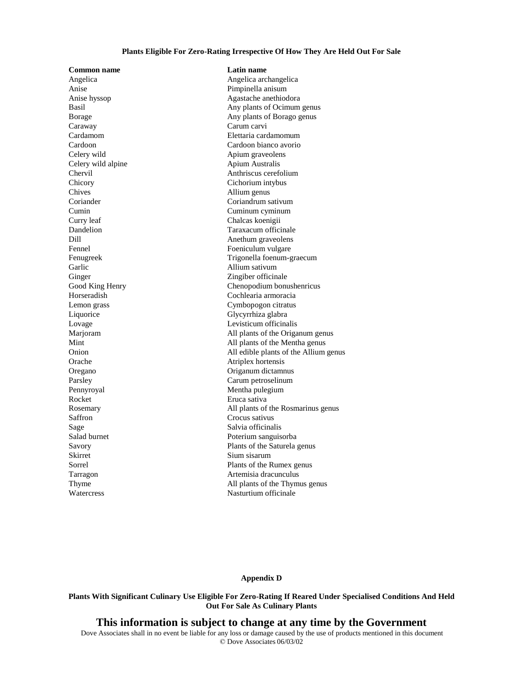#### **Plants Eligible For Zero-Rating Irrespective Of How They Are Held Out For Sale**

Angelica Angelica archangelica Anise Pimpinella anisum Caraway Carum carvi Cardamom Elettaria cardamomum Celery wild Apium graveolens Celery wild alpine Apium Australis Chervil Anthriscus cerefolium<br>Chicory Cichorium intybus Chives Allium genus Coriander Coriandrum sativum Cumin Cuminum cyminum Curry leaf Chalcas koenigii Dandelion Taraxacum officinale Dill Anethum graveolens Fennel Foeniculum vulgare Garlic **Allium sativum** Ginger Zingiber officinale Lemon grass Cymbopogon citratus Liquorice Glycyrrhiza glabra Lovage Levisticum officinalis Orache Atriplex hortensis Oregano Origanum dictamnus Parsley Carum petroselinum Pennyroyal Mentha pulegium Rocket Eruca sativa Saffron Crocus sativus Sage Salvia officinalis Salad burnet Poterium sanguisorba Skirret Sium sisarum Tarragon Artemisia dracunculus

**Common name Latin name** Anise hyssop Agastache anethiodora Basil Any plants of Ocimum genus Borage Any plants of Borago genus Cardoon Cardoon bianco avorio Cichorium intybus Fenugreek Trigonella foenum-graecum Good King Henry Chenopodium bonushenricus Cochlearia armoracia Marjoram All plants of the Origanum genus Mint All plants of the Mentha genus Onion All edible plants of the Allium genus Rosemary All plants of the Rosmarinus genus Savory Plants of the Saturela genus Sorrel Plants of the Rumex genus Thyme All plants of the Thymus genus Watercress Nasturtium officinale

#### **Appendix D**

**Plants With Significant Culinary Use Eligible For Zero-Rating If Reared Under Specialised Conditions And Held Out For Sale As Culinary Plants**

## **This information is subject to change at any time by the Government**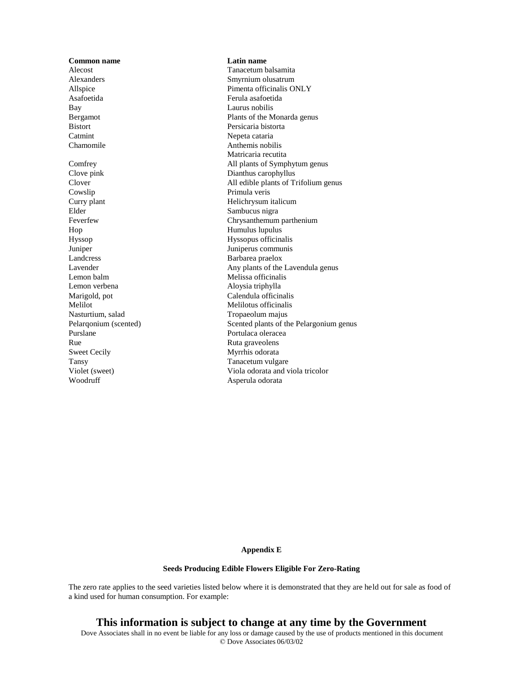**Common name Latin name** Alecost Tanacetum balsamita<br>Alexanders Smyrnium olusatrum Asafoetida Ferula asafoetida Bay Laurus nobilis Bistort Persicaria bistorta Catmint Nepeta cataria Chamomile Anthemis nobilis Clove pink Dianthus carophyllus Cowslip Primula veris Curry plant Helichrysum italicum Elder Sambucus nigra Hop Humulus lupulus Humulus lupulus Humulus lupulus Humulus lupulus Republika Sepanjang Mumulus Lupulus Republika Sepanjang Mumulus Republika Sepanjang Mumulus Republika Sepanjang Mumulus Republika Sepanjang Mumulus Republ Hyssop Hyssopus officinalis Juniper Juniperus communis Landcress Barbarea praelox Lemon balm Melissa officinalis Lemon verbena <br>
Aloysia triphylla Marigold, pot Calendula officinalis Melilotus officinalis Nasturtium, salad Tropaeolum majus Purslane Portulaca oleracea Rue Ruta graveolens Sweet Cecily Myrrhis odorata Tansy Tanacetum vulgare

Smyrnium olusatrum Allspice Pimenta officinalis ONLY Bergamot Plants of the Monarda genus Matricaria recutita Comfrey All plants of Symphytum genus Clover All edible plants of Trifolium genus Feverfew Chrysanthemum parthenium Lavender Any plants of the Lavendula genus Pelargonium (scented) Scented plants of the Pelargonium genus Violet (sweet) Viola odorata and viola tricolor Woodruff Asperula odorata

#### **Appendix E**

#### **Seeds Producing Edible Flowers Eligible For Zero-Rating**

The zero rate applies to the seed varieties listed below where it is demonstrated that they are held out for sale as food of a kind used for human consumption. For example:

**This information is subject to change at any time by the Government**